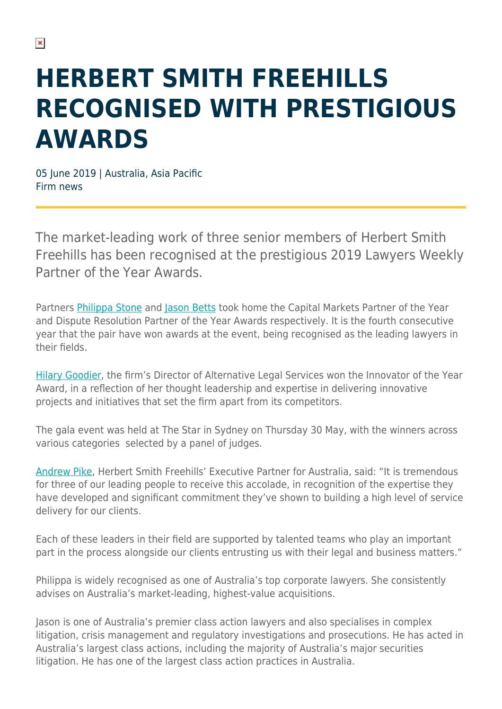## **HERBERT SMITH FREEHILLS RECOGNISED WITH PRESTIGIOUS AWARDS**

05 June 2019 | Australia, Asia Pacific Firm news

The market-leading work of three senior members of Herbert Smith Freehills has been recognised at the prestigious 2019 Lawyers Weekly Partner of the Year Awards.

Partners [Philippa Stone](https://www.herbertsmithfreehills.com/our-people/philippa-stone) and [Jason Betts](https://www.herbertsmithfreehills.com/our-people/jason-betts) took home the Capital Markets Partner of the Year and Dispute Resolution Partner of the Year Awards respectively. It is the fourth consecutive year that the pair have won awards at the event, being recognised as the leading lawyers in their fields.

[Hilary Goodier](https://www.herbertsmithfreehills.com/our-people/hilary-goodier), the firm's Director of Alternative Legal Services won the Innovator of the Year Award, in a reflection of her thought leadership and expertise in delivering innovative projects and initiatives that set the firm apart from its competitors.

The gala event was held at The Star in Sydney on Thursday 30 May, with the winners across various categories selected by a panel of judges.

[Andrew Pike](https://www.herbertsmithfreehills.com/our-people/andrew-pike), Herbert Smith Freehills' Executive Partner for Australia, said: "It is tremendous for three of our leading people to receive this accolade, in recognition of the expertise they have developed and significant commitment they've shown to building a high level of service delivery for our clients.

Each of these leaders in their field are supported by talented teams who play an important part in the process alongside our clients entrusting us with their legal and business matters."

Philippa is widely recognised as one of Australia's top corporate lawyers. She consistently advises on Australia's market-leading, highest-value acquisitions.

Jason is one of Australia's premier class action lawyers and also specialises in complex litigation, crisis management and regulatory investigations and prosecutions. He has acted in Australia's largest class actions, including the majority of Australia's major securities litigation. He has one of the largest class action practices in Australia.